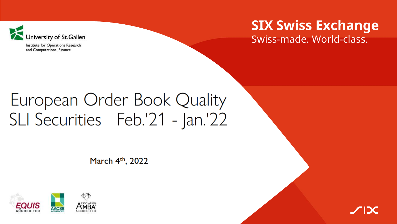

Institute for Operations Research and Computational Finance

## **SIX Swiss Exchange**

Swiss-made. World-class.

# European Order Book Quality SLI Securities Feb.'21 - Jan.'22

March 4<sup>th</sup>, 2022



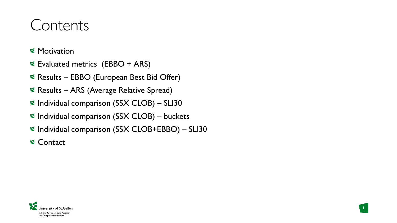# Contents

- $\leq$  **Motivation**
- Evaluated metrics (EBBO + ARS)
- Results EBBO (European Best Bid Offer)
- $\leq$  Results ARS (Average Relative Spread)
- $\le$  Individual comparison (SSX CLOB) SLI30
- $\le$  Individual comparison (SSX CLOB) buckets
- $\le$  Individual comparison (SSX CLOB+EBBO) SLI30

**1**

**& Contact** 

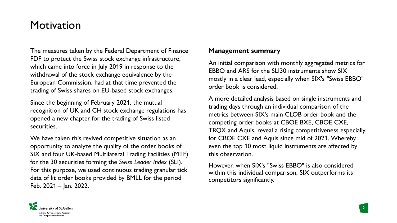### **Motivation**

The measures taken by the Federal Department of Finance FDF to protect the Swiss stock exchange infrastructure, which came into force in July 2019 in response to the withdrawal of the stock exchange equivalence by the European Commission, had at that time prevented the trading of Swiss shares on EU-based stock exchanges.

Since the beginning of February 2021, the mutual recognition of UK and CH stock exchange regulations has opened a new chapter for the trading of Swiss listed securities.

We have taken this revived competitive situation as an opportunity to analyze the quality of the order books of SIX and four UK-based Multilateral Trading Facilities (MTF) for the 30 securities forming the *Swiss Leader Index* (SLI). For this purpose, we used continuous trading granular tick data of lit order books provided by BMLL for the period Feb. 2021 – Jan. 2022.

#### **Management summary**

An initial comparison with monthly aggregated metrics for EBBO and ARS for the SLI30 instruments show SIX mostly in a clear lead, especially when SIX's "Swiss EBBO" order book is considered.

A more detailed analysis based on single instruments and trading days through an individual comparison of the metrics between SIX's main CLOB order book and the competing order books at CBOE BXE, CBOE CXE, TRQX and Aquis, reveal a rising competitiveness especially for CBOE CXE and Aquis since mid of 2021. Whereby even the top 10 most liquid instruments are affected by this observation.

However, when SIX's "Swiss EBBO" is also considered within this individual comparison, SIX outperforms its competitors significantly.

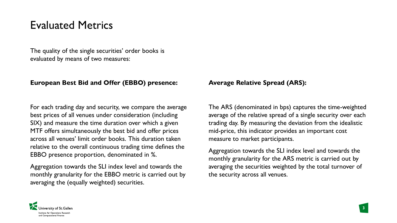### Evaluated Metrics

The quality of the single securities' order books is evaluated by means of two measures:

#### **European Best Bid and Offer (EBBO) presence:**

For each trading day and security, we compare the average best prices of all venues under consideration (including SIX) and measure the time duration over which a given MTF offers simultaneously the best bid and offer prices across all venues' limit order books. This duration taken relative to the overall continuous trading time defines the EBBO presence proportion, denominated in %.

Aggregation towards the SLI index level and towards the monthly granularity for the EBBO metric is carried out by averaging the (equally weighted) securities.

#### **Average Relative Spread (ARS):**

The ARS (denominated in bps) captures the time-weighted average of the relative spread of a single security over each trading day. By measuring the deviation from the idealistic mid-price, this indicator provides an important cost measure to market participants.

Aggregation towards the SLI index level and towards the monthly granularity for the ARS metric is carried out by averaging the securities weighted by the total turnover of the security across all venues.

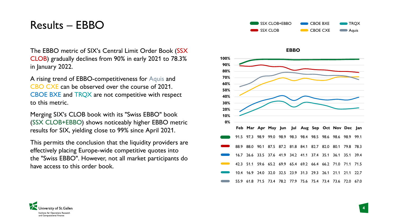### Results – EBBO

The EBBO metric of SIX's Central Limit Order Book (SSX CLOB) gradually declines from 90% in early 2021 to 78.3% in January 2022.

A rising trend of EBBO-competitiveness for Aquis and CBO CXE can be observed over the course of 2021. CBOE BXE and TRQX are not competitive with respect to this metric.

Merging SIX's CLOB book with its "Swiss EBBO" book (SSX CLOB+EBBO) shows noticeably higher EBBO metric results for SIX, yielding close to 99% since April 2021.

This permits the conclusion that the liquidity providers are effectively placing Europe-wide competitive quotes into the "Swiss EBBO". However, not all market participants do have access to this order book.





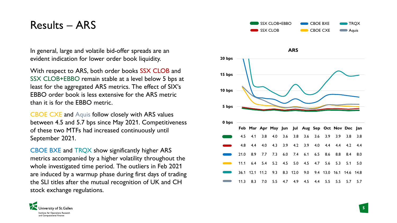### Results – ARS

In general, large and volatile bid-offer spreads are an evident indication for lower order book liquidity.

With respect to ARS, both order books SSX CLOB and SSX CLOB+EBBO remain stable at a level below 5 bps at least for the aggregated ARS metrics. The effect of SIX's EBBO order book is less extensive for the ARS metric than it is for the EBBO metric.

CBOE CXE and Aquis follow closely with ARS values between 4.5 and 5.7 bps since May 2021. Competitiveness of these two MTFs had increased continuously until September 2021.

CBOE BXE and TRQX show significantly higher ARS metrics accompanied by a higher volatility throughout the whole investigated time period. The outliers in Feb 2021 are induced by a warmup phase during first days of trading the SLI titles after the mutual recognition of UK and CH stock exchange regulations.





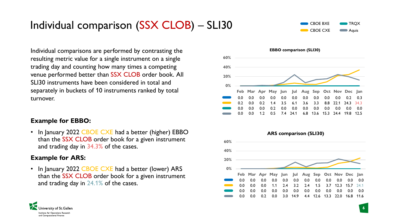### Individual comparison (SSX CLOB) – SLI30



Individual comparisons are performed by contrasting the resulting metric value for a single instrument on a single trading day and counting how many times a competing venue performed better than SSX CLOB order book. All SLI30 instruments have been considered in total and separately in buckets of 10 instruments ranked by total turnover.

#### **Example for EBBO:**

In January 2022 CBOE CXE had a better (higher) EBBO than the SSX CLOB order book for a given instrument and trading day in 34.3% of the cases.

### **Example for ARS:**

• In January 2022 CBOE CXE had a better (lower) ARS than the SSX CLOB order book for a given instrument and trading day in 24.1% of the cases.





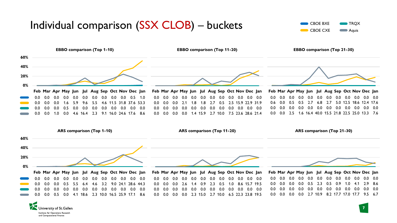### Individual comparison (SSX CLOB) – buckets

University of St.Gallen Institute for Operations Research and Computational Finance



**7**



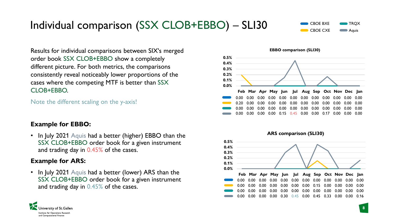

Individual comparison (SSX CLOB+EBBO) – SLI30

CBOE BXE CBOE CXE **TRQX Aguis** 

Results for individual comparisons between SIX's merged order book SSX CLOB+EBBO show a completely different picture. For both metrics, the comparisons consistently reveal noticeably lower proportions of the cases where the competing MTF is better than SSX CLOB+FBBO.

Note the different scaling on the y-axis!

#### **Example for EBBO:**

• In July 2021 Aquis had a better (higher) EBBO than the SSX CLOB+EBBO order book for a given instrument and trading day in 0.45% of the cases.

#### **Example for ARS:**

• In July 2021 Aquis had a better (lower) ARS than the SSX CLOB+EBBO order book for a given instrument and trading day in 0.45% of the cases.